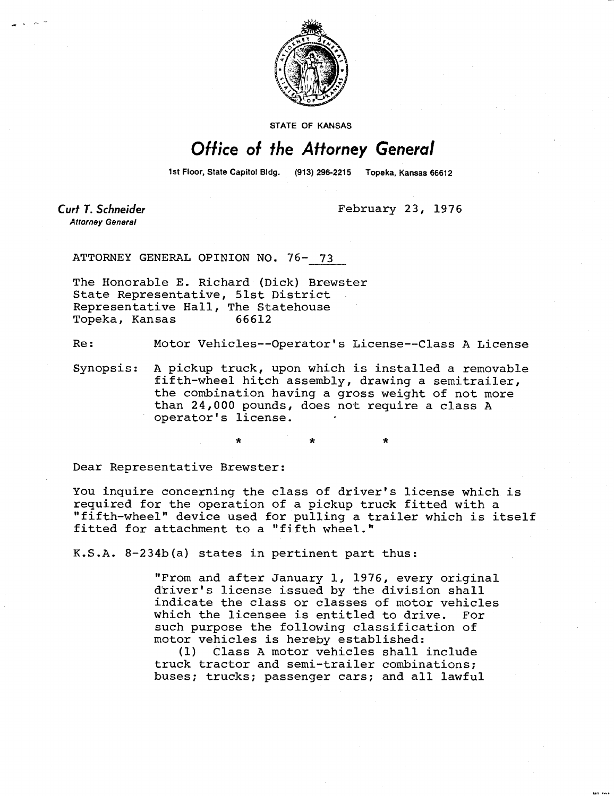

**STATE OF KANSAS** 

## Office of the Attorney General

1st Floor, State Capitol Bldg. (913) 296-2215 Topeka, Kansas 66612

**Curt T. Schneider Attorney General** 

February 23, 1976

ATTORNEY GENERAL OPINION NO. 76- 73

The Honorable E. Richard (Dick) Brewster State Representative, 51st District Representative Hall, The Statehouse Topeka, Kansas 66612

Re: Motor Vehicles--Operator's License--Class A License

Synopsis: A pickup truck, upon which is installed a removable fifth-wheel hitch assembly, drawing a semitrailer, the combination having a gross weight of not more than 24,000 pounds, does not require a class A operator's license.

Dear Representative Brewster:

You inquire concerning the class of driver's license which is required for the operation of a pickup truck fitted with a "fifth-wheel" device used for pulling a trailer which is itself fitted for attachment to a "fifth wheel."

K.S.A. 8-234b(a) states in pertinent part thus:

"From and after January 1, 1976, every original driver's license issued by the division shall indicate the class or classes of motor vehicles which the licensee is entitled to drive. For such purpose the following classification of motor vehicles is hereby established:

(1) Class A motor vehicles shall include truck tractor and semi-trailer combinations; buses; trucks; passenger cars; and all lawful